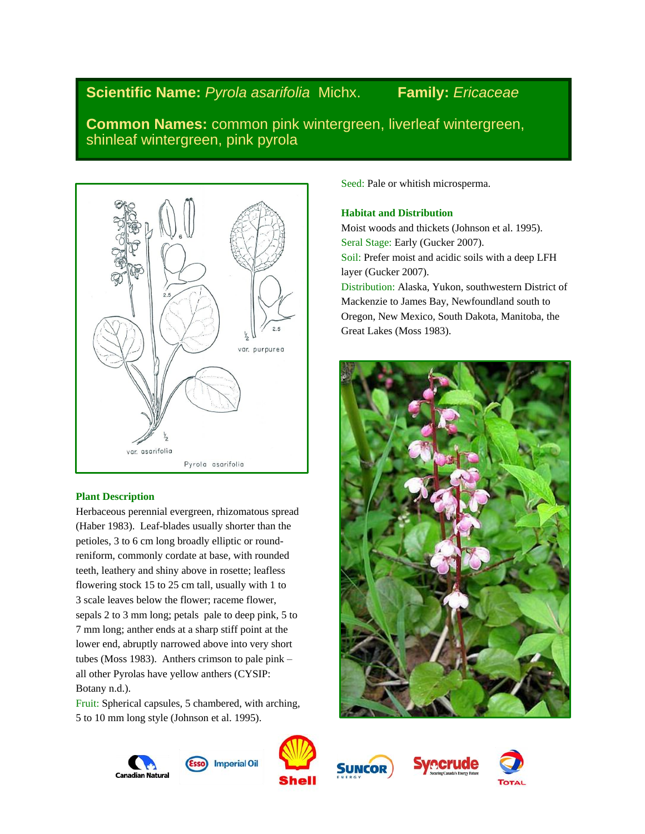# **Scientific Name:** *Pyrola asarifolia* Michx. **Family:** *Ericaceae*

**Common Names:** common pink wintergreen, liverleaf wintergreen, shinleaf wintergreen, pink pyrola



# **Plant Description**

Herbaceous perennial evergreen, rhizomatous spread (Haber 1983). Leaf-blades usually shorter than the petioles, 3 to 6 cm long broadly elliptic or roundreniform, commonly cordate at base, with rounded teeth, leathery and shiny above in rosette; leafless flowering stock 15 to 25 cm tall, usually with 1 to 3 scale leaves below the flower; raceme flower, sepals 2 to 3 mm long; petals pale to deep pink, 5 to 7 mm long; anther ends at a sharp stiff point at the lower end, abruptly narrowed above into very short tubes (Moss 1983). Anthers crimson to pale pink – all other Pyrolas have yellow anthers (CYSIP: Botany n.d.).

Fruit: Spherical capsules, 5 chambered, with arching, 5 to 10 mm long style (Johnson et al. 1995).

Seed: Pale or whitish microsperma.

# **Habitat and Distribution**

Moist woods and thickets (Johnson et al. 1995). Seral Stage: Early (Gucker 2007). Soil: Prefer moist and acidic soils with a deep LFH layer (Gucker 2007). Distribution: Alaska, Yukon, southwestern District of Mackenzie to James Bay, Newfoundland south to Oregon, New Mexico, South Dakota, Manitoba, the Great Lakes (Moss 1983).









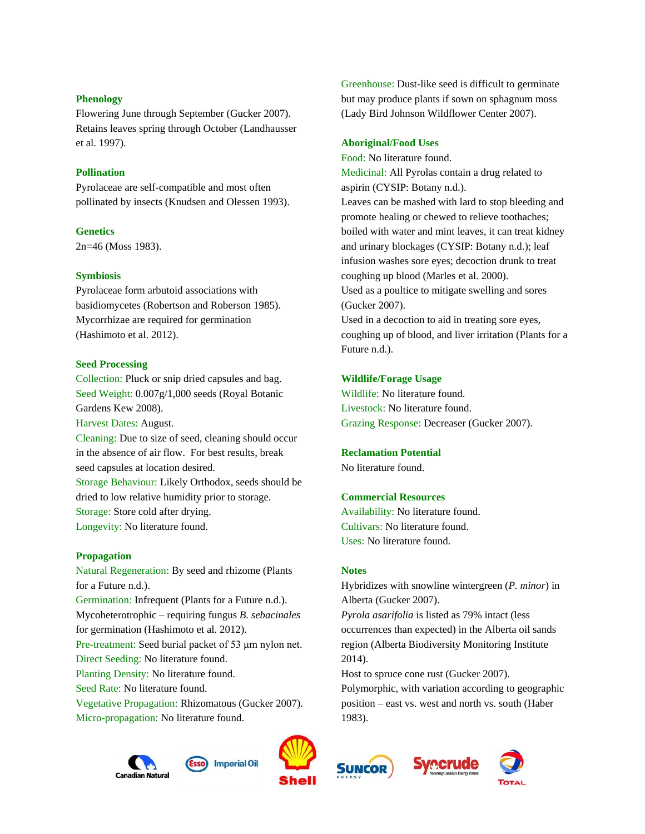### **Phenology**

Flowering June through September (Gucker 2007). Retains leaves spring through October (Landhausser et al. 1997).

# **Pollination**

Pyrolaceae are self-compatible and most often pollinated by insects (Knudsen and Olessen 1993).

# **Genetics**

2n=46 (Moss 1983).

# **Symbiosis**

Pyrolaceae form arbutoid associations with basidiomycetes (Robertson and Roberson 1985). Mycorrhizae are required for germination (Hashimoto et al. 2012).

# **Seed Processing**

Collection: Pluck or snip dried capsules and bag. Seed Weight: 0.007g/1,000 seeds (Royal Botanic Gardens Kew 2008).

Harvest Dates: August.

Cleaning: Due to size of seed, cleaning should occur in the absence of air flow. For best results, break seed capsules at location desired. Storage Behaviour: Likely Orthodox, seeds should be dried to low relative humidity prior to storage. Storage: Store cold after drying.

Longevity: No literature found.

#### **Propagation**

Natural Regeneration: By seed and rhizome (Plants for a Future n.d.). Germination: Infrequent (Plants for a Future n.d.). Mycoheterotrophic – requiring fungus *B. sebacinales* for germination (Hashimoto et al. 2012). Pre-treatment: Seed burial packet of 53 μm nylon net. Direct Seeding: No literature found. Planting Density: No literature found. Seed Rate: No literature found. Vegetative Propagation: Rhizomatous (Gucker 2007). Micro-propagation: No literature found.

Greenhouse: Dust-like seed is difficult to germinate but may produce plants if sown on sphagnum moss (Lady Bird Johnson Wildflower Center 2007).

#### **Aboriginal/Food Uses**

Food: No literature found. Medicinal: All Pyrolas contain a drug related to aspirin (CYSIP: Botany n.d.). Leaves can be mashed with lard to stop bleeding and promote healing or chewed to relieve toothaches; boiled with water and mint leaves, it can treat kidney and urinary blockages (CYSIP: Botany n.d.); leaf infusion washes sore eyes; decoction drunk to treat coughing up blood (Marles et al. 2000). Used as a poultice to mitigate swelling and sores (Gucker 2007).

Used in a decoction to aid in treating sore eyes, coughing up of blood, and liver irritation (Plants for a Future n.d.).

# **Wildlife/Forage Usage**

Wildlife: No literature found. Livestock: No literature found. Grazing Response: Decreaser (Gucker 2007).

#### **Reclamation Potential**

No literature found.

# **Commercial Resources**

Availability: No literature found. Cultivars: No literature found. Uses: No literature found.

#### **Notes**

Hybridizes with snowline wintergreen (*P. minor*) in Alberta (Gucker 2007).

*Pyrola asarifolia* is listed as 79% intact (less occurrences than expected) in the Alberta oil sands region (Alberta Biodiversity Monitoring Institute 2014).

Host to spruce cone rust (Gucker 2007). Polymorphic, with variation according to geographic position – east vs. west and north vs. south (Haber 1983).